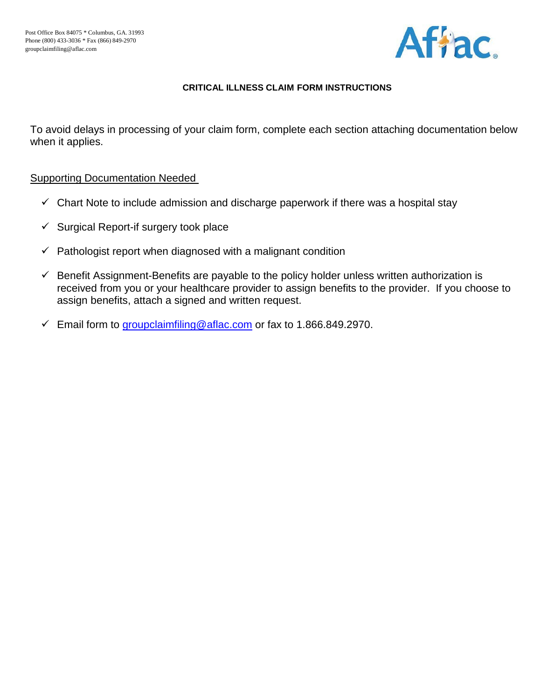

## **CRITICAL ILLNESS CLAIM FORM INSTRUCTIONS**

To avoid delays in processing of your claim form, complete each section attaching documentation below when it applies.

## Supporting Documentation Needed

- $\checkmark$  Chart Note to include admission and discharge paperwork if there was a hospital stay
- $\checkmark$  Surgical Report-if surgery took place
- $\checkmark$  Pathologist report when diagnosed with a malignant condition
- $\checkmark$  Benefit Assignment-Benefits are payable to the policy holder unless written authorization is received from you or your healthcare provider to assign benefits to the provider. If you choose to assign benefits, attach a signed and written request.
- Email form to [groupclaimfiling@aflac.com](mailto:groupclaimfiling@aflac.com) or fax to 1.866.849.2970.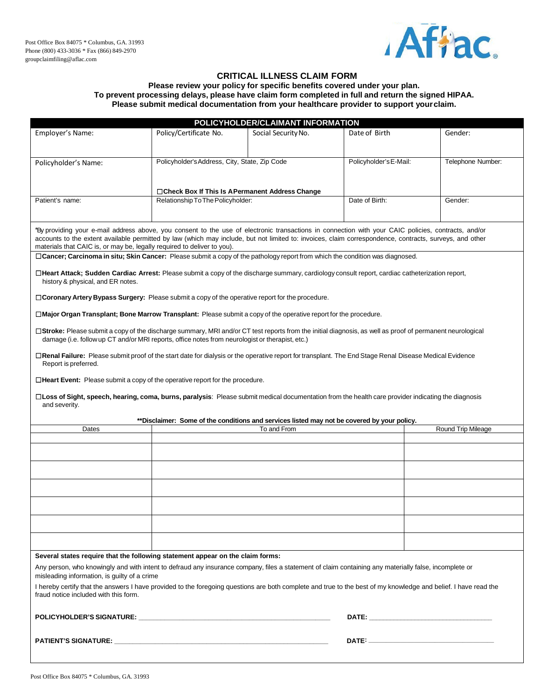

#### **CRITICAL ILLNESS CLAIM FORM**

#### **Please review your policy for specific benefits covered under your plan. To prevent processing delays, please have claim form completed in full and return the signed HIPAA. Please submit medical documentation from your healthcare provider to support yourclaim.**

|                                                                                                                                                                                                                                    |                                                   | POLICYHOLDER/CLAIMANT INFORMATION                                                           |                        |                    |
|------------------------------------------------------------------------------------------------------------------------------------------------------------------------------------------------------------------------------------|---------------------------------------------------|---------------------------------------------------------------------------------------------|------------------------|--------------------|
| Employer's Name:                                                                                                                                                                                                                   | Policy/Certificate No.                            | Social Security No.                                                                         | Date of Birth          | Gender:            |
|                                                                                                                                                                                                                                    |                                                   |                                                                                             |                        |                    |
|                                                                                                                                                                                                                                    |                                                   |                                                                                             |                        |                    |
| Policyholder's Name:                                                                                                                                                                                                               | Policyholder's Address, City, State, Zip Code     |                                                                                             | Policyholder's E-Mail: | Telephone Number:  |
|                                                                                                                                                                                                                                    |                                                   |                                                                                             |                        |                    |
|                                                                                                                                                                                                                                    |                                                   |                                                                                             |                        |                    |
|                                                                                                                                                                                                                                    | □ Check Box If This Is A Permanent Address Change |                                                                                             |                        |                    |
| Patient's name:                                                                                                                                                                                                                    | Relationship To The Policyholder:                 |                                                                                             | Date of Birth:         | Gender:            |
|                                                                                                                                                                                                                                    |                                                   |                                                                                             |                        |                    |
|                                                                                                                                                                                                                                    |                                                   |                                                                                             |                        |                    |
| "By providing your e-mail address above, you consent to the use of electronic transactions in connection with your CAIC policies, contracts, and/or                                                                                |                                                   |                                                                                             |                        |                    |
| accounts to the extent available permitted by law (which may include, but not limited to: invoices, claim correspondence, contracts, surveys, and other<br>materials that CAIC is, or may be, legally required to deliver to you). |                                                   |                                                                                             |                        |                    |
| □ Cancer; Carcinoma in situ; Skin Cancer: Please submit a copy of the pathology report from which the condition was diagnosed.                                                                                                     |                                                   |                                                                                             |                        |                    |
|                                                                                                                                                                                                                                    |                                                   |                                                                                             |                        |                    |
| □Heart Attack; Sudden Cardiac Arrest: Please submit a copy of the discharge summary, cardiology consult report, cardiac catheterization report,                                                                                    |                                                   |                                                                                             |                        |                    |
| history & physical, and ER notes.                                                                                                                                                                                                  |                                                   |                                                                                             |                        |                    |
|                                                                                                                                                                                                                                    |                                                   |                                                                                             |                        |                    |
| $\Box$ Coronary Artery Bypass Surgery: Please submit a copy of the operative report for the procedure.                                                                                                                             |                                                   |                                                                                             |                        |                    |
| □Major Organ Transplant; Bone Marrow Transplant: Please submit a copy of the operative report for the procedure.                                                                                                                   |                                                   |                                                                                             |                        |                    |
|                                                                                                                                                                                                                                    |                                                   |                                                                                             |                        |                    |
| □Stroke: Please submit a copy of the discharge summary, MRI and/or CT test reports from the initial diagnosis, as well as proof of permanent neurological                                                                          |                                                   |                                                                                             |                        |                    |
| damage (i.e. follow up CT and/or MRI reports, office notes from neurologist or therapist, etc.)                                                                                                                                    |                                                   |                                                                                             |                        |                    |
| □Renal Failure: Please submit proof of the start date for dialysis or the operative report for transplant. The End Stage Renal Disease Medical Evidence                                                                            |                                                   |                                                                                             |                        |                    |
| Report is preferred.                                                                                                                                                                                                               |                                                   |                                                                                             |                        |                    |
|                                                                                                                                                                                                                                    |                                                   |                                                                                             |                        |                    |
| $\Box$ Heart Event: Please submit a copy of the operative report for the procedure.                                                                                                                                                |                                                   |                                                                                             |                        |                    |
| □Loss of Sight, speech, hearing, coma, burns, paralysis: Please submit medical documentation from the health care provider indicating the diagnosis                                                                                |                                                   |                                                                                             |                        |                    |
|                                                                                                                                                                                                                                    |                                                   |                                                                                             |                        |                    |
| and severity.                                                                                                                                                                                                                      |                                                   |                                                                                             |                        |                    |
|                                                                                                                                                                                                                                    |                                                   |                                                                                             |                        |                    |
|                                                                                                                                                                                                                                    |                                                   | **Disclaimer: Some of the conditions and services listed may not be covered by your policy. |                        |                    |
| Dates                                                                                                                                                                                                                              |                                                   | To and From                                                                                 |                        | Round Trip Mileage |
|                                                                                                                                                                                                                                    |                                                   |                                                                                             |                        |                    |
|                                                                                                                                                                                                                                    |                                                   |                                                                                             |                        |                    |
|                                                                                                                                                                                                                                    |                                                   |                                                                                             |                        |                    |
|                                                                                                                                                                                                                                    |                                                   |                                                                                             |                        |                    |
|                                                                                                                                                                                                                                    |                                                   |                                                                                             |                        |                    |
|                                                                                                                                                                                                                                    |                                                   |                                                                                             |                        |                    |
|                                                                                                                                                                                                                                    |                                                   |                                                                                             |                        |                    |
|                                                                                                                                                                                                                                    |                                                   |                                                                                             |                        |                    |
|                                                                                                                                                                                                                                    |                                                   |                                                                                             |                        |                    |
|                                                                                                                                                                                                                                    |                                                   |                                                                                             |                        |                    |
|                                                                                                                                                                                                                                    |                                                   |                                                                                             |                        |                    |
| Several states require that the following statement appear on the claim forms:                                                                                                                                                     |                                                   |                                                                                             |                        |                    |
|                                                                                                                                                                                                                                    |                                                   |                                                                                             |                        |                    |
| Any person, who knowingly and with intent to defraud any insurance company, files a statement of claim containing any materially false, incomplete or<br>misleading information, is quilty of a crime                              |                                                   |                                                                                             |                        |                    |
| I hereby certify that the answers I have provided to the foregoing questions are both complete and true to the best of my knowledge and belief. I have read the                                                                    |                                                   |                                                                                             |                        |                    |
| fraud notice included with this form.                                                                                                                                                                                              |                                                   |                                                                                             |                        |                    |
|                                                                                                                                                                                                                                    |                                                   |                                                                                             |                        |                    |
|                                                                                                                                                                                                                                    |                                                   |                                                                                             |                        |                    |
|                                                                                                                                                                                                                                    |                                                   |                                                                                             |                        |                    |
|                                                                                                                                                                                                                                    |                                                   |                                                                                             |                        |                    |
|                                                                                                                                                                                                                                    |                                                   |                                                                                             |                        |                    |
|                                                                                                                                                                                                                                    |                                                   |                                                                                             |                        |                    |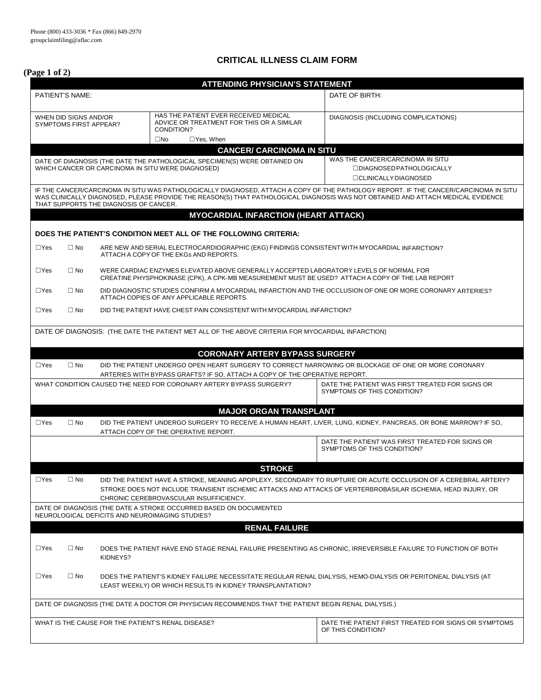## **CRITICAL ILLNESS CLAIM FORM**

| (Page 1 of 2)            |                                                                                                                                                                     |                                        | <b>ATTENDING PHYSICIAN'S STATEMENT</b>                                                                                                                                                     |                                                                                                                                                                                                                                                                         |
|--------------------------|---------------------------------------------------------------------------------------------------------------------------------------------------------------------|----------------------------------------|--------------------------------------------------------------------------------------------------------------------------------------------------------------------------------------------|-------------------------------------------------------------------------------------------------------------------------------------------------------------------------------------------------------------------------------------------------------------------------|
|                          | PATIENT'S NAME:                                                                                                                                                     |                                        |                                                                                                                                                                                            | DATE OF BIRTH:                                                                                                                                                                                                                                                          |
|                          | WHEN DID SIGNS AND/OR<br>SYMPTOMS FIRST APPEAR?                                                                                                                     |                                        | HAS THE PATIENT EVER RECEIVED MEDICAL<br>ADVICE OR TREATMENT FOR THIS OR A SIMILAR<br>CONDITION?                                                                                           | DIAGNOSIS (INCLUDING COMPLICATIONS)                                                                                                                                                                                                                                     |
|                          |                                                                                                                                                                     |                                        | □Yes, When<br>$\square$ No                                                                                                                                                                 |                                                                                                                                                                                                                                                                         |
|                          |                                                                                                                                                                     |                                        | <b>CANCER/ CARCINOMA IN SITU</b>                                                                                                                                                           |                                                                                                                                                                                                                                                                         |
|                          |                                                                                                                                                                     |                                        | DATE OF DIAGNOSIS (THE DATE THE PATHOLOGICAL SPECIMEN(S) WERE OBTAINED ON<br>WHICH CANCER OR CARCINOMA IN SITU WERE DIAGNOSED)                                                             | WAS THE CANCER/CARCINOMA IN SITU<br><b>IDIAGNOSED PATHOLOGICALLY</b><br><b>OCLINICALLY DIAGNOSED</b>                                                                                                                                                                    |
|                          |                                                                                                                                                                     | THAT SUPPORTS THE DIAGNOSIS OF CANCER. |                                                                                                                                                                                            | IF THE CANCER/CARCINOMA IN SITU WAS PATHOLOGICALLY DIAGNOSED, ATTACH A COPY OF THE PATHOLOGY REPORT. IF THE CANCER/CARCINOMA IN SITU<br>WAS CLINICALLY DIAGNOSED, PLEASE PROVIDE THE REASON(S) THAT PATHOLOGICAL DIAGNOSIS WAS NOT OBTAINED AND ATTACH MEDICAL EVIDENCE |
|                          |                                                                                                                                                                     |                                        | <b>MYOCARDIAL INFARCTION (HEART ATTACK)</b>                                                                                                                                                |                                                                                                                                                                                                                                                                         |
|                          |                                                                                                                                                                     |                                        | DOES THE PATIENT'S CONDITION MEET ALL OF THE FOLLOWING CRITERIA:                                                                                                                           |                                                                                                                                                                                                                                                                         |
| $\Box$ Yes               | $\Box$ No                                                                                                                                                           |                                        | ARE NEW AND SERIAL ELECTROCARDIOGRAPHIC (EKG) FINDINGS CONSISTENT WITH MYOCARDIAL INFARCTION?<br>ATTACH A COPY OF THE EKGs AND REPORTS.                                                    |                                                                                                                                                                                                                                                                         |
| $\Box$ Yes               | $\Box$ No                                                                                                                                                           |                                        | WERE CARDIAC ENZYMES ELEVATED ABOVE GENERALLY ACCEPTED LABORATORY LEVELS OF NORMAL FOR<br>CREATINE PHYSPHOKINASE (CPK), A CPK-MB MEASUREMENT MUST BE USED? ATTACH A COPY OF THE LAB REPORT |                                                                                                                                                                                                                                                                         |
| $\Box$ Yes               | DID DIAGNOSTIC STUDIES CONFIRM A MYOCARDIAL INFARCTION AND THE OCCLUSION OF ONE OR MORE CORONARY ARTERIES?<br>$\Box$ No<br>ATTACH COPIES OF ANY APPLICABLE REPORTS. |                                        |                                                                                                                                                                                            |                                                                                                                                                                                                                                                                         |
| $\Box$ Yes               | $\Box$ No                                                                                                                                                           |                                        | DID THE PATIENT HAVE CHEST PAIN CONSISTENT WITH MYOCARDIAL INFARCTION?                                                                                                                     |                                                                                                                                                                                                                                                                         |
|                          |                                                                                                                                                                     |                                        |                                                                                                                                                                                            |                                                                                                                                                                                                                                                                         |
|                          |                                                                                                                                                                     |                                        | DATE OF DIAGNOSIS: (THE DATE THE PATIENT MET ALL OF THE ABOVE CRITERIA FOR MYOCARDIAL INFARCTION)                                                                                          |                                                                                                                                                                                                                                                                         |
|                          |                                                                                                                                                                     |                                        |                                                                                                                                                                                            |                                                                                                                                                                                                                                                                         |
|                          |                                                                                                                                                                     |                                        |                                                                                                                                                                                            |                                                                                                                                                                                                                                                                         |
|                          | $\Box$ No                                                                                                                                                           |                                        | <b>CORONARY ARTERY BYPASS SURGERY</b><br>ARTERIES WITH BYPASS GRAFTS? IF SO, ATTACH A COPY OF THE OPERATIVE REPORT.                                                                        | DID THE PATIENT UNDERGO OPEN HEART SURGERY TO CORRECT NARROWING OR BLOCKAGE OF ONE OR MORE CORONARY                                                                                                                                                                     |
|                          |                                                                                                                                                                     |                                        | WHAT CONDITION CAUSED THE NEED FOR CORONARY ARTERY BYPASS SURGERY?                                                                                                                         | DATE THE PATIENT WAS FIRST TREATED FOR SIGNS OR<br>SYMPTOMS OF THIS CONDITION?                                                                                                                                                                                          |
|                          |                                                                                                                                                                     |                                        | <b>MAJOR ORGAN TRANSPLANT</b>                                                                                                                                                              |                                                                                                                                                                                                                                                                         |
|                          | $\Box$ No                                                                                                                                                           |                                        | ATTACH COPY OF THE OPERATIVE REPORT.                                                                                                                                                       | DID THE PATIENT UNDERGO SURGERY TO RECEIVE A HUMAN HEART, LIVER, LUNG, KIDNEY, PANCREAS, OR BONE MARROW? IF SO,                                                                                                                                                         |
|                          |                                                                                                                                                                     |                                        |                                                                                                                                                                                            | DATE THE PATIENT WAS FIRST TREATED FOR SIGNS OR<br>SYMPTOMS OF THIS CONDITION?                                                                                                                                                                                          |
| $\Box$ Yes<br>$\Box$ Yes |                                                                                                                                                                     |                                        | <b>STROKE</b>                                                                                                                                                                              |                                                                                                                                                                                                                                                                         |
| $\Box$ Yes               | $\Box$ No                                                                                                                                                           |                                        | CHRONIC CEREBROVASCULAR INSUFFICIENCY.                                                                                                                                                     | STROKE DOES NOT INCLUDE TRANSIENT ISCHEMIC ATTACKS AND ATTACKS OF VERTERBROBASILAR ISCHEMIA, HEAD INJURY, OR                                                                                                                                                            |
|                          |                                                                                                                                                                     |                                        | DATE OF DIAGNOSIS (THE DATE A STROKE OCCURRED BASED ON DOCUMENTED<br>NEUROLOGICAL DEFICITS AND NEUROIMAGING STUDIES?                                                                       |                                                                                                                                                                                                                                                                         |
|                          |                                                                                                                                                                     |                                        | <b>RENAL FAILURE</b>                                                                                                                                                                       |                                                                                                                                                                                                                                                                         |
| $\Box$ Yes               | $\Box$ No                                                                                                                                                           | KIDNEYS?                               |                                                                                                                                                                                            | DOES THE PATIENT HAVE END STAGE RENAL FAILURE PRESENTING AS CHRONIC, IRREVERSIBLE FAILURE TO FUNCTION OF BOTH                                                                                                                                                           |
|                          | $\Box$ No                                                                                                                                                           |                                        | LEAST WEEKLY) OR WHICH RESULTS IN KIDNEY TRANSPLANTATION?                                                                                                                                  | DOES THE PATIENT'S KIDNEY FAILURE NECESSITATE REGULAR RENAL DIALYSIS, HEMO-DIALYSIS OR PERITONEAL DIALYSIS (AT                                                                                                                                                          |
| $\Box$ Yes               |                                                                                                                                                                     |                                        | DATE OF DIAGNOSIS (THE DATE A DOCTOR OR PHYSICIAN RECOMMENDS THAT THE PATIENT BEGIN RENAL DIALYSIS.)                                                                                       | DID THE PATIENT HAVE A STROKE, MEANING APOPLEXY, SECONDARY TO RUPTURE OR ACUTE OCCLUSION OF A CEREBRAL ARTERY?                                                                                                                                                          |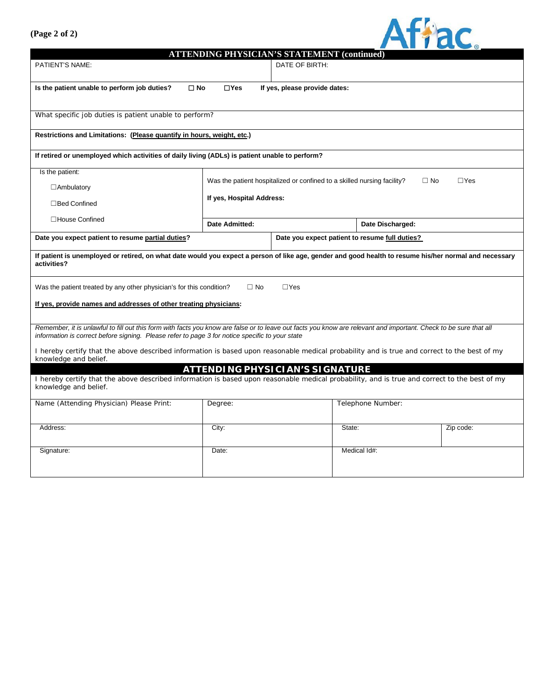## **(Page 2 of 2)**



| <b>ATTENDING PHYSICIAN'S STATEMENT (continued)</b>                                                                                                                                                                                                                   |                                                                                                    |                                                |                   |           |
|----------------------------------------------------------------------------------------------------------------------------------------------------------------------------------------------------------------------------------------------------------------------|----------------------------------------------------------------------------------------------------|------------------------------------------------|-------------------|-----------|
| <b>PATIENT'S NAME:</b>                                                                                                                                                                                                                                               |                                                                                                    | DATE OF BIRTH:                                 |                   |           |
|                                                                                                                                                                                                                                                                      |                                                                                                    |                                                |                   |           |
| $\square$ No<br>Is the patient unable to perform job duties?                                                                                                                                                                                                         | $\Box$ Yes                                                                                         | If yes, please provide dates:                  |                   |           |
|                                                                                                                                                                                                                                                                      |                                                                                                    |                                                |                   |           |
|                                                                                                                                                                                                                                                                      |                                                                                                    |                                                |                   |           |
| What specific job duties is patient unable to perform?                                                                                                                                                                                                               |                                                                                                    |                                                |                   |           |
| Restrictions and Limitations: (Please quantify in hours, weight, etc.)                                                                                                                                                                                               |                                                                                                    |                                                |                   |           |
|                                                                                                                                                                                                                                                                      |                                                                                                    |                                                |                   |           |
| If retired or unemployed which activities of daily living (ADLs) is patient unable to perform?                                                                                                                                                                       |                                                                                                    |                                                |                   |           |
| Is the patient:                                                                                                                                                                                                                                                      |                                                                                                    |                                                |                   |           |
|                                                                                                                                                                                                                                                                      | Was the patient hospitalized or confined to a skilled nursing facility?<br>$\Box$ No<br>$\Box$ Yes |                                                |                   |           |
| $\Box$ Ambulatory                                                                                                                                                                                                                                                    |                                                                                                    |                                                |                   |           |
| □Bed Confined                                                                                                                                                                                                                                                        | If yes, Hospital Address:                                                                          |                                                |                   |           |
| □ House Confined                                                                                                                                                                                                                                                     |                                                                                                    |                                                |                   |           |
| <b>Date Admitted:</b>                                                                                                                                                                                                                                                |                                                                                                    |                                                | Date Discharged:  |           |
| Date you expect patient to resume partial duties?                                                                                                                                                                                                                    |                                                                                                    | Date you expect patient to resume full duties? |                   |           |
| If patient is unemployed or retired, on what date would you expect a person of like age, gender and good health to resume his/her normal and necessary<br>activities?                                                                                                |                                                                                                    |                                                |                   |           |
| Was the patient treated by any other physician's for this condition?                                                                                                                                                                                                 | $\Box$ No                                                                                          | $\Box$ Yes                                     |                   |           |
| If yes, provide names and addresses of other treating physicians:                                                                                                                                                                                                    |                                                                                                    |                                                |                   |           |
|                                                                                                                                                                                                                                                                      |                                                                                                    |                                                |                   |           |
| Remember, it is unlawful to fill out this form with facts you know are false or to leave out facts you know are relevant and important. Check to be sure that all<br>information is correct before signing. Please refer to page 3 for notice specific to your state |                                                                                                    |                                                |                   |           |
| I hereby certify that the above described information is based upon reasonable medical probability and is true and correct to the best of my<br>knowledge and belief.                                                                                                |                                                                                                    |                                                |                   |           |
| TENDING PHYSICIAN'S SIGNATURE                                                                                                                                                                                                                                        |                                                                                                    |                                                |                   |           |
| I hereby certify that the above described information is based upon reasonable medical probability, and is true and correct to the best of my<br>knowledge and belief.                                                                                               |                                                                                                    |                                                |                   |           |
| Name (Attending Physician) Please Print:                                                                                                                                                                                                                             | Degree:                                                                                            |                                                | Telephone Number: |           |
|                                                                                                                                                                                                                                                                      |                                                                                                    |                                                |                   |           |
|                                                                                                                                                                                                                                                                      |                                                                                                    |                                                |                   |           |
| Address:                                                                                                                                                                                                                                                             | City:                                                                                              | State:                                         |                   | Zip code: |
|                                                                                                                                                                                                                                                                      |                                                                                                    |                                                |                   |           |
| Signature:                                                                                                                                                                                                                                                           | Date:                                                                                              |                                                | Medical Id#:      |           |
|                                                                                                                                                                                                                                                                      |                                                                                                    |                                                |                   |           |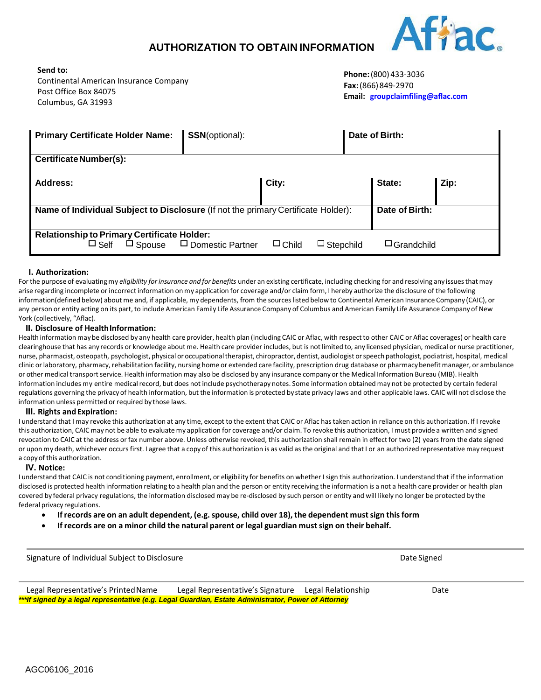



**Send to:** Continental American Insurance Company Post Office Box 84075 Columbus, GA 31993

**Phone:**(800) 433-3036 **Fax:**(866)849-2970 **Email: [groupclaimfiling@aflac.com](mailto:groupclaimfiling@aflac.com)**

| <b>Primary Certificate Holder Name:</b>                                                             | <b>SSN</b> (optional):                |              |                  | Date of Birth:    |      |
|-----------------------------------------------------------------------------------------------------|---------------------------------------|--------------|------------------|-------------------|------|
|                                                                                                     |                                       |              |                  |                   |      |
| <b>Certificate Number(s):</b>                                                                       |                                       |              |                  |                   |      |
| <b>Address:</b>                                                                                     |                                       | City:        |                  | State:            | Zip: |
| Name of Individual Subject to Disclosure (If not the primary Certificate Holder):<br>Date of Birth: |                                       |              |                  |                   |      |
| <b>Relationship to Primary Certificate Holder:</b><br>$\Box$ Self                                   | $\Box$ Spouse $\Box$ Domestic Partner | $\Box$ Child | $\Box$ Stepchild | $\Box$ Grandchild |      |

#### **I. Authorization:**

Forthe purpose of evaluating my *eligibility for insurance and for benefits* under an existing certificate, including checking for and resolving any issuesthat may arise regarding incomplete or incorrect information on my application for coverage and/or claim form, I hereby authorize the disclosure of the following information(defined below) about me and, if applicable, my dependents, from the sources listed below to Continental American Insurance Company (CAIC), or any person or entity acting on its part, to include American Family Life Assurance Company of Columbus and American Family Life Assurance Company of New York (collectively, "Aflac).

### **II. Disclosure of HealthInformation:**

Health information may be disclosed by any health care provider, health plan (including CAIC or Aflac, with respect to other CAIC or Aflac coverages) or health care clearinghouse that has any records or knowledge about me. Health care provider includes, but is not limited to, any licensed physician, medical or nurse practitioner, nurse, pharmacist, osteopath, psychologist, physical or occupationaltherapist, chiropractor, dentist, audiologist orspeech pathologist, podiatrist, hospital, medical clinic orlaboratory, pharmacy, rehabilitation facility, nursing home or extended care facility, prescription drug database or pharmacy benefit manager, or ambulance or other medical transport service. Health information may also be disclosed by any insurance company or the Medical Information Bureau (MIB). Health information includes my entire medical record, but does not include psychotherapy notes. Some information obtained may not be protected by certain federal regulations governing the privacy of health information, but the information is protected by state privacy laws and other applicable laws. CAIC will not disclose the information unless permitted or required by those laws.

#### **III. Rights andExpiration:**

I understand that I may revoke this authorization at any time, except to the extent that CAIC or Aflac has taken action in reliance on this authorization. If I revoke this authorization, CAIC may not be able to evaluate my application for coverage and/or claim. To revoke this authorization, I must provide a written and signed revocation to CAIC at the address or fax number above. Unless otherwise revoked, this authorization shall remain in effect for two (2) years from the date signed or upon my death, whichever occurs first. I agree that a copy of this authorization is as valid as the original and that I or an authorized representative mayrequest a copyof this authorization.

#### **IV. Notice:**

I understand that CAIC is not conditioning payment, enrollment, or eligibility for benefits on whether I sign this authorization. I understand that if the information disclosed is protected health information relating to a health plan and the person or entity receiving the information is a not a health care provider or health plan covered by federal privacy regulations, the information disclosed may be re-disclosed by such person or entity and will likely no longer be protected by the federal privacy regulations.

- **If records are on an adult dependent, (e.g.spouse, child over 18), the dependent mustsign thisform**
- **If records are on a minor child the natural parent or legal guardian mustsign on their behalf.**

Signature of Individual Subject to Disclosure **Date Signature of Individual Subject to Disclosure** Date Signed

Legal Representative's PrintedName Legal Representative's Signature Legal Relationship Date *\*\*\*If signed by a legal representative (e.g. Legal Guardian, Estate Administrator, Power of Attorney*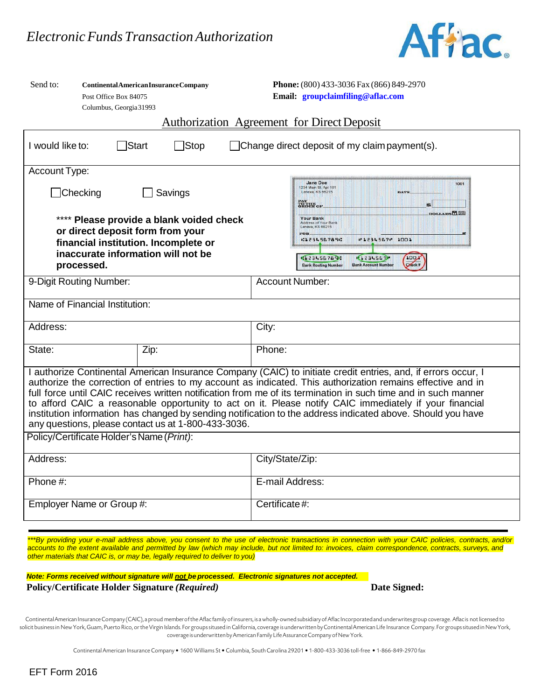

| Send to:<br>Post Office Box 84075<br>Columbus, Georgia 31993                                                                                                                                                                                                                                                                                                                                                                                                                                                                                                                                                                   | Continental American Insurance Company | Phone: (800) 433-3036 Fax (866) 849-2970<br>Email: groupclaimfiling@aflac.com                                                                                                                                                 |  |  |
|--------------------------------------------------------------------------------------------------------------------------------------------------------------------------------------------------------------------------------------------------------------------------------------------------------------------------------------------------------------------------------------------------------------------------------------------------------------------------------------------------------------------------------------------------------------------------------------------------------------------------------|----------------------------------------|-------------------------------------------------------------------------------------------------------------------------------------------------------------------------------------------------------------------------------|--|--|
|                                                                                                                                                                                                                                                                                                                                                                                                                                                                                                                                                                                                                                |                                        | <b>Authorization Agreement for Direct Deposit</b>                                                                                                                                                                             |  |  |
| Stop<br>Start<br>I would like to:<br>$\Box$ Change direct deposit of my claim payment(s).                                                                                                                                                                                                                                                                                                                                                                                                                                                                                                                                      |                                        |                                                                                                                                                                                                                               |  |  |
| Account Type:                                                                                                                                                                                                                                                                                                                                                                                                                                                                                                                                                                                                                  |                                        |                                                                                                                                                                                                                               |  |  |
| $\Box$ Checking<br>Savings                                                                                                                                                                                                                                                                                                                                                                                                                                                                                                                                                                                                     |                                        | <b>Jane Doe</b><br>1001<br>1234 Main St. Apt 101<br>Lenexa, KS 66215<br><b>DATE</b><br>PAY<br>TO THE OF                                                                                                                       |  |  |
| **** Please provide a blank voided check<br>or direct deposit form from your<br>financial institution. Incomplete or<br>inaccurate information will not be<br>processed.                                                                                                                                                                                                                                                                                                                                                                                                                                                       |                                        | <b>DOLLARS</b> E.<br><b>Your Bank</b><br>Address of Your Bank<br>Lenexa, KS 66215<br>FOR<br>:1234567890<br>#1234567# 1001<br>2234567<br>123456789<br>100<br><b>Bank Account Number</b><br>Check<br><b>Bank Routing Number</b> |  |  |
| 9-Digit Routing Number:                                                                                                                                                                                                                                                                                                                                                                                                                                                                                                                                                                                                        |                                        | <b>Account Number:</b>                                                                                                                                                                                                        |  |  |
| Name of Financial Institution:                                                                                                                                                                                                                                                                                                                                                                                                                                                                                                                                                                                                 |                                        |                                                                                                                                                                                                                               |  |  |
| Address:                                                                                                                                                                                                                                                                                                                                                                                                                                                                                                                                                                                                                       |                                        | City:                                                                                                                                                                                                                         |  |  |
| State:                                                                                                                                                                                                                                                                                                                                                                                                                                                                                                                                                                                                                         | Zip:                                   | Phone:                                                                                                                                                                                                                        |  |  |
| I authorize Continental American Insurance Company (CAIC) to initiate credit entries, and, if errors occur, I<br>authorize the correction of entries to my account as indicated. This authorization remains effective and in<br>full force until CAIC receives written notification from me of its termination in such time and in such manner<br>to afford CAIC a reasonable opportunity to act on it. Please notify CAIC immediately if your financial<br>institution information has changed by sending notification to the address indicated above. Should you have<br>any questions, please contact us at 1-800-433-3036. |                                        |                                                                                                                                                                                                                               |  |  |
| Policy/Certificate Holder's Name (Print):                                                                                                                                                                                                                                                                                                                                                                                                                                                                                                                                                                                      |                                        |                                                                                                                                                                                                                               |  |  |
| Address:                                                                                                                                                                                                                                                                                                                                                                                                                                                                                                                                                                                                                       |                                        | City/State/Zip:                                                                                                                                                                                                               |  |  |
| Phone #:                                                                                                                                                                                                                                                                                                                                                                                                                                                                                                                                                                                                                       |                                        | E-mail Address:                                                                                                                                                                                                               |  |  |
| Employer Name or Group #:                                                                                                                                                                                                                                                                                                                                                                                                                                                                                                                                                                                                      |                                        | Certificate#:                                                                                                                                                                                                                 |  |  |
| ***By providing your e-mail address above, you consent to the use of electronic transactions in connection with your CAIC policies, contracts, and/or<br>accounts to the extent available and permitted by law (which may include, but not limited to: invoices, claim correspondence, contracts, surveys, and<br>other materials that CAIC is, or may be, legally required to deliver to you)                                                                                                                                                                                                                                 |                                        |                                                                                                                                                                                                                               |  |  |

*Note: Forms received without signature will not be processed. Electronic signatures not accepted.* **Policy/Certificate Holder Signature** *(Required)* **Date Signed:** 

Continental American Insurance Company (CAIC), a proud member of the Aflac family of insurers, is a wholly-owned subsidiary of Aflac Incorporated and underwrites group coverage. Aflacis not licensed to solicit business in New York, Guam, Puerto Rico, or the Virgin Islands. For groups sitused in California, coverage is underwritten by Continental American Life Insurance Company. For groups sitused in New York, coverage is underwritten by American Family Life Assurance Company of New York.

ContinentalAmerican Insurance Company • 1600 Williams St • Columbia, SouthCarolina 29201 • 1-800-433-3036 toll-free • 1-866-849-2970 fax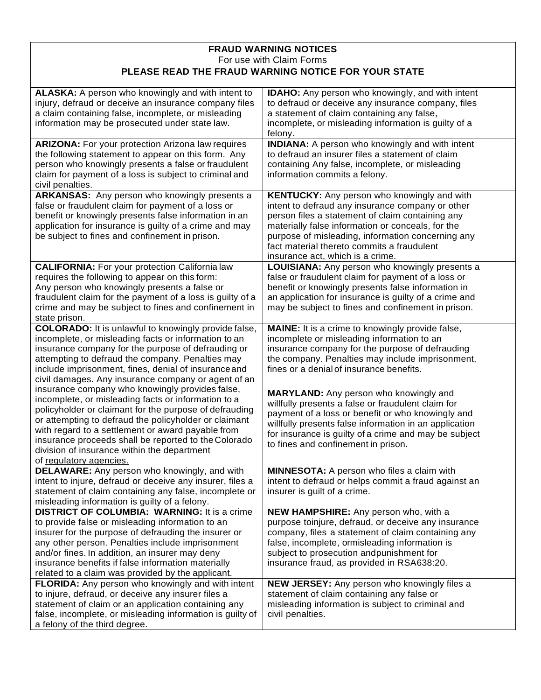# **FRAUD WARNING NOTICES**

For use with Claim Forms

## **PLEASE READ THE FRAUD WARNING NOTICE FOR YOUR STATE**

| ALASKA: A person who knowingly and with intent to           | <b>IDAHO:</b> Any person who knowingly, and with intent |
|-------------------------------------------------------------|---------------------------------------------------------|
| injury, defraud or deceive an insurance company files       | to defraud or deceive any insurance company, files      |
| a claim containing false, incomplete, or misleading         | a statement of claim containing any false,              |
| information may be prosecuted under state law.              | incomplete, or misleading information is guilty of a    |
|                                                             | felony.                                                 |
| <b>ARIZONA:</b> For your protection Arizona law requires    | <b>INDIANA:</b> A person who knowingly and with intent  |
| the following statement to appear on this form. Any         | to defraud an insurer files a statement of claim        |
| person who knowingly presents a false or fraudulent         | containing Any false, incomplete, or misleading         |
| claim for payment of a loss is subject to criminal and      | information commits a felony.                           |
| civil penalties.                                            |                                                         |
| <b>ARKANSAS:</b> Any person who knowingly presents a        | <b>KENTUCKY:</b> Any person who knowingly and with      |
| false or fraudulent claim for payment of a loss or          | intent to defraud any insurance company or other        |
| benefit or knowingly presents false information in an       | person files a statement of claim containing any        |
| application for insurance is guilty of a crime and may      | materially false information or conceals, for the       |
| be subject to fines and confinement in prison.              | purpose of misleading, information concerning any       |
|                                                             | fact material thereto commits a fraudulent              |
|                                                             | insurance act, which is a crime.                        |
| <b>CALIFORNIA:</b> For your protection California law       | LOUISIANA: Any person who knowingly presents a          |
| requires the following to appear on this form:              | false or fraudulent claim for payment of a loss or      |
| Any person who knowingly presents a false or                | benefit or knowingly presents false information in      |
| fraudulent claim for the payment of a loss is guilty of a   | an application for insurance is guilty of a crime and   |
|                                                             | may be subject to fines and confinement in prison.      |
| crime and may be subject to fines and confinement in        |                                                         |
| state prison.                                               |                                                         |
| <b>COLORADO:</b> It is unlawful to knowingly provide false, | <b>MAINE:</b> It is a crime to knowingly provide false, |
| incomplete, or misleading facts or information to an        | incomplete or misleading information to an              |
| insurance company for the purpose of defrauding or          | insurance company for the purpose of defrauding         |
| attempting to defraud the company. Penalties may            | the company. Penalties may include imprisonment,        |
| include imprisonment, fines, denial of insurance and        | fines or a denial of insurance benefits.                |
| civil damages. Any insurance company or agent of an         |                                                         |
| insurance company who knowingly provides false,             | <b>MARYLAND:</b> Any person who knowingly and           |
| incomplete, or misleading facts or information to a         | willfully presents a false or fraudulent claim for      |
| policyholder or claimant for the purpose of defrauding      | payment of a loss or benefit or who knowingly and       |
| or attempting to defraud the policyholder or claimant       | willfully presents false information in an application  |
| with regard to a settlement or award payable from           | for insurance is guilty of a crime and may be subject   |
| insurance proceeds shall be reported to the Colorado        | to fines and confinement in prison.                     |
| division of insurance within the department                 |                                                         |
| of regulatory agencies.                                     |                                                         |
| <b>DELAWARE:</b> Any person who knowingly, and with         | MINNESOTA: A person who files a claim with              |
| intent to injure, defraud or deceive any insurer, files a   | intent to defraud or helps commit a fraud against an    |
| statement of claim containing any false, incomplete or      | insurer is guilt of a crime.                            |
| misleading information is guilty of a felony.               |                                                         |
| <b>DISTRICT OF COLUMBIA: WARNING: It is a crime</b>         | <b>NEW HAMPSHIRE:</b> Any person who, with a            |
| to provide false or misleading information to an            | purpose toinjure, defraud, or deceive any insurance     |
| insurer for the purpose of defrauding the insurer or        | company, files a statement of claim containing any      |
| any other person. Penalties include imprisonment            | false, incomplete, ormisleading information is          |
| and/or fines. In addition, an insurer may deny              | subject to prosecution andpunishment for                |
| insurance benefits if false information materially          | insurance fraud, as provided in RSA638:20.              |
| related to a claim was provided by the applicant.           |                                                         |
| FLORIDA: Any person who knowingly and with intent           | NEW JERSEY: Any person who knowingly files a            |
| to injure, defraud, or deceive any insurer files a          | statement of claim containing any false or              |
| statement of claim or an application containing any         | misleading information is subject to criminal and       |
| false, incomplete, or misleading information is guilty of   | civil penalties.                                        |
| a felony of the third degree.                               |                                                         |
|                                                             |                                                         |